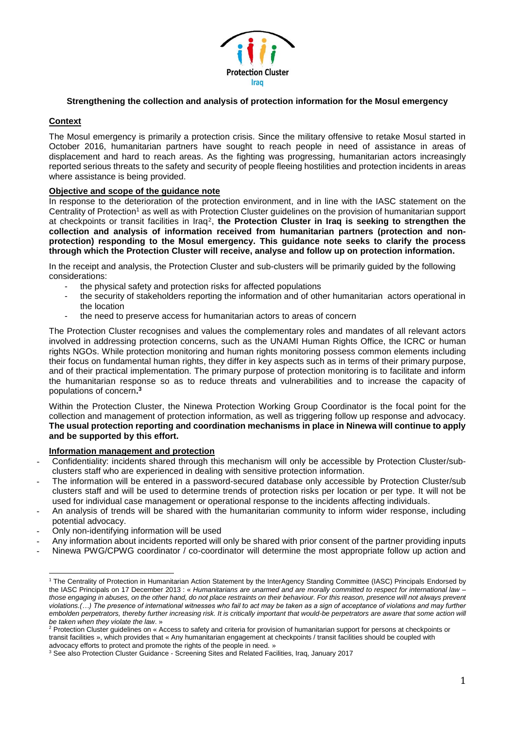

# **Strengthening the collection and analysis of protection information for the Mosul emergency**

### **Context**

The Mosul emergency is primarily a protection crisis. Since the military offensive to retake Mosul started in October 2016, humanitarian partners have sought to reach people in need of assistance in areas of displacement and hard to reach areas. As the fighting was progressing, humanitarian actors increasingly reported serious threats to the safety and security of people fleeing hostilities and protection incidents in areas where assistance is being provided.

### **Objective and scope of the guidance note**

In response to the deterioration of the protection environment, and in line with the IASC statement on the Centrality of Protection<sup>1</sup> as well as with Protection Cluster guidelines on the provision of humanitarian support at checkpoints or transit facilities in Iraq<sup>2</sup> , **the Protection Cluster in Iraq is seeking to strengthen the collection and analysis of information received from humanitarian partners (protection and nonprotection) responding to the Mosul emergency. This guidance note seeks to clarify the process through which the Protection Cluster will receive, analyse and follow up on protection information.**

In the receipt and analysis, the Protection Cluster and sub-clusters will be primarily guided by the following considerations:

- the physical safety and protection risks for affected populations
- the security of stakeholders reporting the information and of other humanitarian actors operational in the location
- the need to preserve access for humanitarian actors to areas of concern

The Protection Cluster recognises and values the complementary roles and mandates of all relevant actors involved in addressing protection concerns, such as the UNAMI Human Rights Office, the ICRC or human rights NGOs. While protection monitoring and human rights monitoring possess common elements including their focus on fundamental human rights, they differ in key aspects such as in terms of their primary purpose, and of their practical implementation. The primary purpose of protection monitoring is to facilitate and inform the humanitarian response so as to reduce threats and vulnerabilities and to increase the capacity of populations of concern**. 3**

Within the Protection Cluster, the Ninewa Protection Working Group Coordinator is the focal point for the collection and management of protection information, as well as triggering follow up response and advocacy. **The usual protection reporting and coordination mechanisms in place in Ninewa will continue to apply and be supported by this effort.**

### **Information management and protection**

- Confidentiality: incidents shared through this mechanism will only be accessible by Protection Cluster/subclusters staff who are experienced in dealing with sensitive protection information.
- The information will be entered in a password-secured database only accessible by Protection Cluster/sub clusters staff and will be used to determine trends of protection risks per location or per type. It will not be used for individual case management or operational response to the incidents affecting individuals.
- An analysis of trends will be shared with the humanitarian community to inform wider response, including potential advocacy.
- Only non-identifying information will be used
- Any information about incidents reported will only be shared with prior consent of the partner providing inputs
- Ninewa PWG/CPWG coordinator / co-coordinator will determine the most appropriate follow up action and

 $\overline{a}$ <sup>1</sup> The Centrality of Protection in Humanitarian Action Statement by the InterAgency Standing Committee (IASC) Principals Endorsed by the IASC Principals on 17 December 2013 : « *Humanitarians are unarmed and are morally committed to respect for international law – those engaging in abuses, on the other hand, do not place restraints on their behaviour. For this reason, presence will not always prevent violations.(…) The presence of international witnesses who fail to act may be taken as a sign of acceptance of violations and may further* embolden perpetrators, thereby further increasing risk. It is critically important that would-be perpetrators are aware that some action will *be taken when they violate the law*. »

<sup>&</sup>lt;sup>2</sup> Protection Cluster guidelines on « Access to safety and criteria for provision of humanitarian support for persons at checkpoints or transit facilities », which provides that « Any humanitarian engagement at checkpoints / transit facilities should be coupled with advocacy efforts to protect and promote the rights of the people in need. »

<sup>3</sup> See also Protection Cluster Guidance - Screening Sites and Related Facilities, Iraq, January 2017